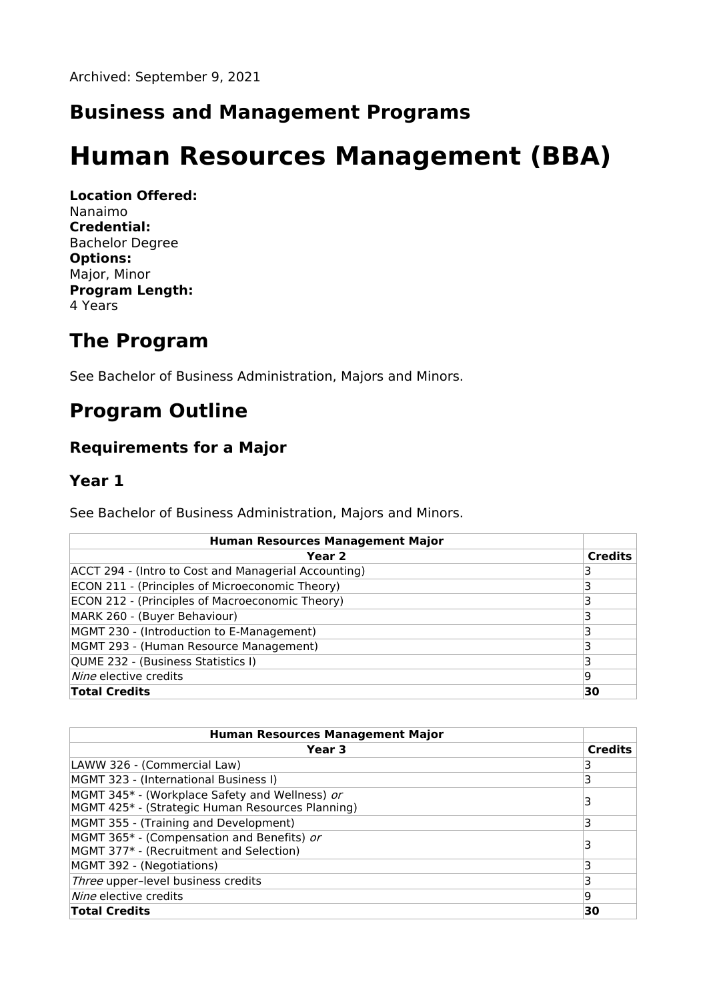### **Business and Management Programs**

# **Human Resources Management (BBA)**

**Location Offered:** Nanaimo **Credential:** Bachelor Degree **Options:** Major, Minor **Program Length:** 4 Years

### **The Program**

See Bachelor of Business Administration, Majors and Minors.

## **Program Outline**

### **Requirements for a Major**

#### **Year 1**

See Bachelor of Business Administration, Majors and Minors.

| <b>Human Resources Management Major</b>              |                |
|------------------------------------------------------|----------------|
| Year <sub>2</sub>                                    | <b>Credits</b> |
| ACCT 294 - (Intro to Cost and Managerial Accounting) | 3              |
| ECON 211 - (Principles of Microeconomic Theory)      |                |
| ECON 212 - (Principles of Macroeconomic Theory)      | 3              |
| MARK 260 - (Buyer Behaviour)                         | 3              |
| MGMT 230 - (Introduction to E-Management)            | 3              |
| MGMT 293 - (Human Resource Management)               |                |
| QUME 232 - (Business Statistics I)                   | 3              |
| Nine elective credits                                | 9              |
| <b>Total Credits</b>                                 | 30             |

| <b>Human Resources Management Major</b>                                                            |                |
|----------------------------------------------------------------------------------------------------|----------------|
| Year 3                                                                                             | <b>Credits</b> |
| LAWW 326 - (Commercial Law)                                                                        | 3              |
| MGMT 323 - (International Business I)                                                              | 3              |
| MGMT 345* - (Workplace Safety and Wellness) or<br>MGMT 425* - (Strategic Human Resources Planning) | 3              |
| MGMT 355 - (Training and Development)                                                              | 3              |
| MGMT 365* - (Compensation and Benefits) or<br>MGMT 377* - (Recruitment and Selection)              | 3              |
| MGMT 392 - (Negotiations)                                                                          | 3              |
| Three upper-level business credits                                                                 | 3              |
| <i>Nine</i> elective credits                                                                       | 9              |
| <b>Total Credits</b>                                                                               | 30             |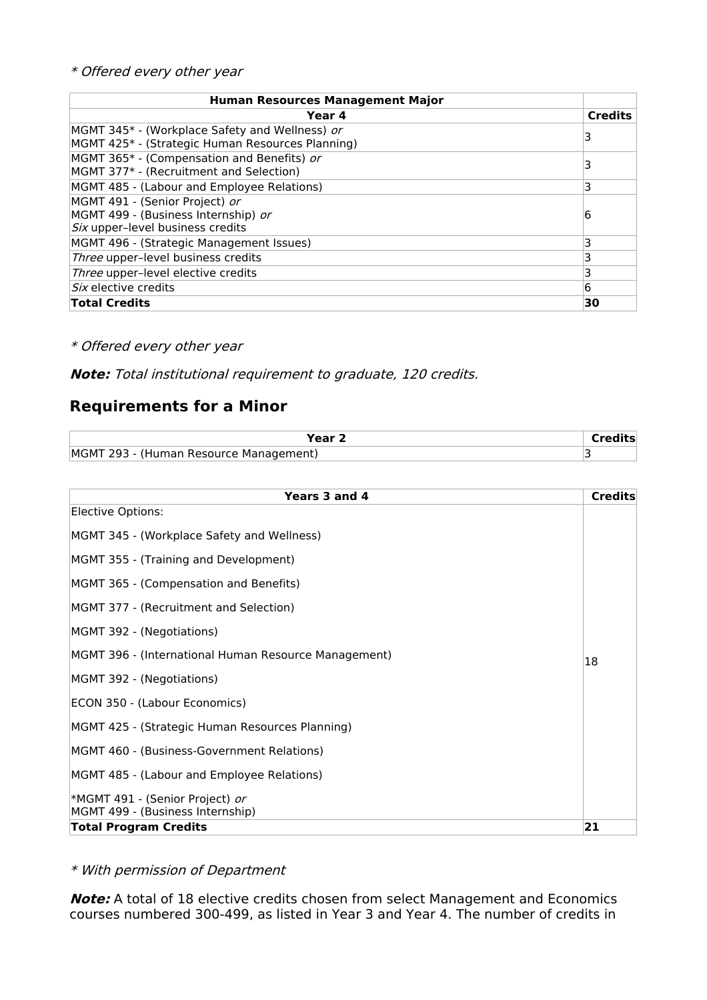| <b>Human Resources Management Major</b>                                                                   |                |
|-----------------------------------------------------------------------------------------------------------|----------------|
| Year 4                                                                                                    | <b>Credits</b> |
| MGMT 345* - (Workplace Safety and Wellness) or<br>MGMT 425* - (Strategic Human Resources Planning)        | 3              |
| MGMT 365* - (Compensation and Benefits) or<br>MGMT 377* - (Recruitment and Selection)                     |                |
| MGMT 485 - (Labour and Employee Relations)                                                                | 3              |
| MGMT 491 - (Senior Project) or<br>MGMT 499 - (Business Internship) or<br>Six upper-level business credits | 6              |
| MGMT 496 - (Strategic Management Issues)                                                                  | 3              |
| Three upper-level business credits                                                                        | 3              |
| Three upper-level elective credits                                                                        | 3              |
| <i>Six</i> elective credits                                                                               | 6              |
| <b>Total Credits</b>                                                                                      | 30             |

#### \* Offered every other year

**Note:** Total institutional requirement to graduate, 120 credits.

### **Requirements for a Minor**

| Vaar                                                |  |
|-----------------------------------------------------|--|
| <b>MGMT</b><br>(Human Resource Management)<br>293 - |  |

| Years 3 and 4                                        | <b>Credits</b> |
|------------------------------------------------------|----------------|
| Elective Options:                                    |                |
| MGMT 345 - (Workplace Safety and Wellness)           |                |
| MGMT 355 - (Training and Development)                |                |
| MGMT 365 - (Compensation and Benefits)               |                |
| MGMT 377 - (Recruitment and Selection)               |                |
| MGMT 392 - (Negotiations)                            |                |
| MGMT 396 - (International Human Resource Management) | 18             |
| MGMT 392 - (Negotiations)                            |                |
| ECON 350 - (Labour Economics)                        |                |
| MGMT 425 - (Strategic Human Resources Planning)      |                |
| MGMT 460 - (Business-Government Relations)           |                |
| MGMT 485 - (Labour and Employee Relations)           |                |
| *MGMT 491 - (Senior Project) or                      |                |
| MGMT 499 - (Business Internship)                     |                |
| <b>Total Program Credits</b>                         | 21             |

\* With permission of Department

**Note:** A total of 18 elective credits chosen from select Management and Economics courses numbered 300-499, as listed in Year 3 and Year 4. The number of credits in